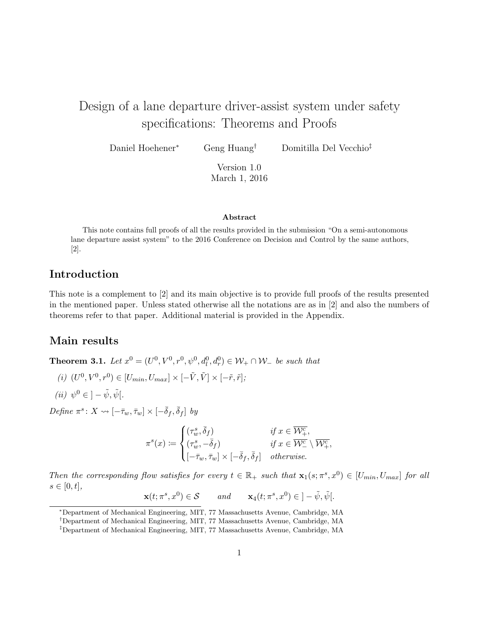# Design of a lane departure driver-assist system under safety specifications: Theorems and Proofs

Daniel Hoehener<sup>∗</sup> Geng Huang† Domitilla Del Vecchio‡

Version 1.0 March 1, 2016

#### Abstract

This note contains full proofs of all the results provided in the submission "On a semi-autonomous lane departure assist system" to the 2016 Conference on Decision and Control by the same authors, [2].

### Introduction

This note is a complement to [2] and its main objective is to provide full proofs of the results presented in the mentioned paper. Unless stated otherwise all the notations are as in [2] and also the numbers of theorems refer to that paper. Additional material is provided in the Appendix.

#### Main results

**Theorem 3.1.** Let  $x^0 = (U^0, V^0, r^0, \psi^0, d_l^0, d_r^0) \in W_+ \cap W_-$  be such that

$$
(i) \ (U^0, V^0, r^0) \in [U_{min}, U_{max}] \times [-\tilde{V}, \tilde{V}] \times [-\tilde{r}, \tilde{r}];
$$

$$
(ii) \ \psi^0 \in \, ]-\tilde{\psi}, \tilde{\psi}[
$$

Define  $\pi^s \colon X \rightsquigarrow [-\bar{\tau}_w, \bar{\tau}_w] \times [-\bar{\delta}_f, \bar{\delta}_f]$  by

$$
\pi^s(x) := \begin{cases}\n(\tau_w^s, \bar{\delta}_f) & \text{if } x \in \overline{\mathcal{W}^c_+}, \\
(\tau_w^s, -\bar{\delta}_f) & \text{if } x \in \overline{\mathcal{W}^c_-} \setminus \overline{\mathcal{W}^c_+}, \\
[-\bar{\tau}_w, \bar{\tau}_w] \times [-\bar{\delta}_f, \bar{\delta}_f] & otherwise.\n\end{cases}
$$

Then the corresponding flow satisfies for every  $t \in \mathbb{R}_+$  such that  $\mathbf{x}_1(s; \pi^s, x^0) \in [U_{min}, U_{max}]$  for all  $s \in [0, t],$ 

 $\mathbf{x}(t; \pi^s, x^0) \in \mathcal{S}$  and  $\mathbf{x}_4(t; \pi^s, x^0) \in \] - \tilde{\psi}, \tilde{\psi}.$ 

<sup>∗</sup>Department of Mechanical Engineering, MIT, 77 Massachusetts Avenue, Cambridge, MA

<sup>†</sup>Department of Mechanical Engineering, MIT, 77 Massachusetts Avenue, Cambridge, MA

<sup>‡</sup>Department of Mechanical Engineering, MIT, 77 Massachusetts Avenue, Cambridge, MA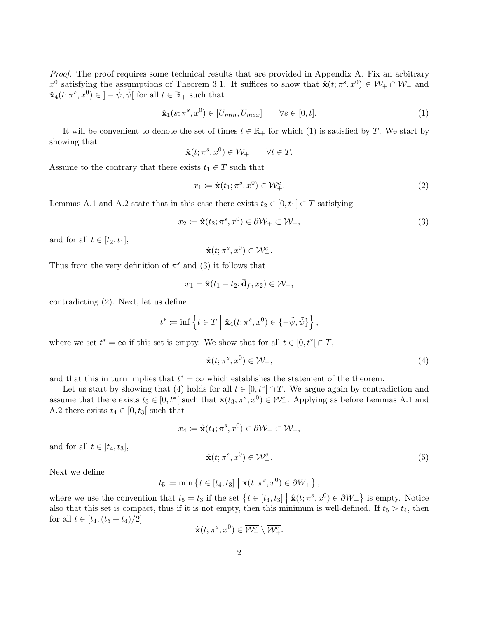Proof. The proof requires some technical results that are provided in Appendix A. Fix an arbitrary  $x^0$  satisfying the assumptions of Theorem 3.1. It suffices to show that  $\hat{\mathbf{x}}(t; \pi^s, x^0) \in \mathcal{W}_+ \cap \mathcal{W}_-$  and  $\hat{\mathbf{x}}_4(t; \pi^s, x^0) \in \, ] - \tilde{\psi}, \tilde{\psi} \, [$  for all  $t \in \mathbb{R}_+$  such that

$$
\hat{\mathbf{x}}_1(s; \pi^s, x^0) \in [U_{min}, U_{max}] \qquad \forall s \in [0, t]. \tag{1}
$$

It will be convenient to denote the set of times  $t \in \mathbb{R}_+$  for which (1) is satisfied by T. We start by showing that

$$
\hat{\mathbf{x}}(t; \pi^s, x^0) \in \mathcal{W}_+ \qquad \forall t \in T.
$$

Assume to the contrary that there exists  $t_1 \in T$  such that

$$
x_1 \coloneqq \hat{\mathbf{x}}(t_1; \pi^s, x^0) \in \mathcal{W}^c_+.
$$

Lemmas A.1 and A.2 state that in this case there exists  $t_2 \in [0, t_1] \subset T$  satisfying

$$
x_2 \coloneqq \hat{\mathbf{x}}(t_2; \pi^s, x^0) \in \partial \mathcal{W}_+ \subset \mathcal{W}_+, \tag{3}
$$

and for all  $t \in [t_2, t_1]$ ,

$$
\hat{\mathbf{x}}(t; \pi^s, x^0) \in \overline{\mathcal{W}^c_+}.
$$

Thus from the very definition of  $\pi^s$  and (3) it follows that

$$
x_1 = \hat{\mathbf{x}}(t_1 - t_2; \bar{\mathbf{d}}_f, x_2) \in \mathcal{W}_+,
$$

contradicting (2). Next, let us define

$$
t^*\coloneqq\inf\left\{t\in T\;\Big|\;\hat {\mathbf{x}}_4(t;\pi^s,x^0)\in\{-\tilde\psi,\tilde\psi\}\right\},
$$

where we set  $t^* = \infty$  if this set is empty. We show that for all  $t \in [0, t^*] \cap T$ ,

$$
\hat{\mathbf{x}}(t; \pi^s, x^0) \in \mathcal{W}_-, \tag{4}
$$

and that this in turn implies that  $t^* = \infty$  which establishes the statement of the theorem.

Let us start by showing that (4) holds for all  $t \in [0, t^*] \cap T$ . We argue again by contradiction and assume that there exists  $t_3 \in [0, t^*]$  such that  $\hat{\mathbf{x}}(t_3; \pi^s, x^0) \in \mathcal{W}^c_-$ . Applying as before Lemmas A.1 and A.2 there exists  $t_4 \in [0, t_3]$  such that

$$
x_4 := \hat{\mathbf{x}}(t_4; \pi^s, x^0) \in \partial \mathcal{W}_- \subset \mathcal{W}_-,
$$
  

$$
\hat{\mathbf{x}}(t; \pi^s, x^0) \in \mathcal{W}_-^c.
$$
 (5)

 $\frac{c}{1-\epsilon}$ . (5)

Next we define

and for all  $t \in [t_4, t_3]$ ,

$$
t_5 \coloneqq \min \{ t \in [t_4, t_3] \mid \hat{\mathbf{x}}(t; \pi^s, x^0) \in \partial W_+ \},\
$$

where we use the convention that  $t_5 = t_3$  if the set  $\{t \in [t_4, t_3] \mid \hat{\mathbf{x}}(t; \pi^s, x^0) \in \partial W_+\}$  is empty. Notice also that this set is compact, thus if it is not empty, then this minimum is well-defined. If  $t_5 > t_4$ , then for all  $t \in [t_4, (t_5 + t_4)/2]$ 

$$
\hat{\mathbf{x}}(t; \pi^s, x^0) \in \overline{\mathcal{W}^c_-} \setminus \overline{\mathcal{W}^c_+}.
$$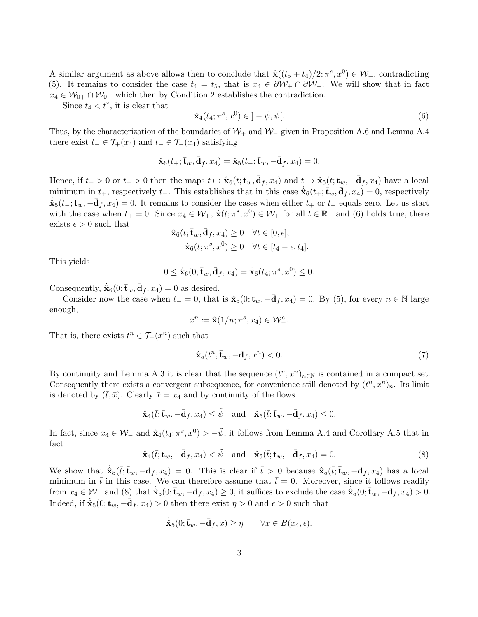A similar argument as above allows then to conclude that  $\hat{\mathbf{x}}((t_5+t_4)/2;\pi^s,x^0) \in \mathcal{W}_-$ , contradicting (5). It remains to consider the case  $t_4 = t_5$ , that is  $x_4 \in \partial W_+ \cap \partial W_-\$ . We will show that in fact  $x_4 \in \mathcal{W}_{0+} \cap \mathcal{W}_{0-}$  which then by Condition 2 establishes the contradiction.

Since  $t_4 < t^*$ , it is clear that

$$
\hat{\mathbf{x}}_4(t_4; \pi^s, x^0) \in ]-\tilde{\psi}, \tilde{\psi}[.
$$
\n
$$
(6)
$$

Thus, by the characterization of the boundaries of  $W_+$  and  $W_-\$  given in Proposition A.6 and Lemma A.4 there exist  $t_+ \in \mathcal{T}_+(x_4)$  and  $t_- \in \mathcal{T}_-(x_4)$  satisfying

$$
\hat{\mathbf{x}}_6(t_+;\bar{\mathbf{t}}_w,\bar{\mathbf{d}}_f,x_4)=\hat{\mathbf{x}}_5(t_-;\bar{\mathbf{t}}_w,-\bar{\mathbf{d}}_f,x_4)=0.
$$

Hence, if  $t_+ > 0$  or  $t_- > 0$  then the maps  $t \mapsto \hat{\mathbf{x}}_6(t; \bar{\mathbf{t}}_w, \bar{\mathbf{d}}_f, x_4)$  and  $t \mapsto \hat{\mathbf{x}}_5(t; \bar{\mathbf{t}}_w, -\bar{\mathbf{d}}_f, x_4)$  have a local minimum in  $t_+$ , respectively  $t_-$ . This establishes that in this case  $\dot{\hat{\mathbf{x}}}_6(t_+;\bar{\mathbf{t}}_w,\bar{\mathbf{d}}_f,x_4)=0$ , respectively  $\dot{\mathbf{x}}_5(t_-;\bar{\mathbf{t}}_w,-\bar{\mathbf{d}}_f,x_4)=0.$  It remains to consider the cases when either  $t_+$  or  $t_-$  equals zero. Let us start with the case when  $t_+ = 0$ . Since  $x_4 \in \mathcal{W}_+$ ,  $\hat{\mathbf{x}}(t; \pi^s, x^0) \in \mathcal{W}_+$  for all  $t \in \mathbb{R}_+$  and (6) holds true, there exists  $\epsilon > 0$  such that

$$
\hat{\mathbf{x}}_6(t; \bar{\mathbf{t}}_w, \bar{\mathbf{d}}_f, x_4) \ge 0 \quad \forall t \in [0, \epsilon],
$$
  

$$
\hat{\mathbf{x}}_6(t; \pi^s, x^0) \ge 0 \quad \forall t \in [t_4 - \epsilon, t_4].
$$

This yields

$$
0 \leq \dot{\hat{\mathbf{x}}}_6(0; \bar{\mathbf{t}}_w, \bar{\mathbf{d}}_f, x_4) = \dot{\hat{\mathbf{x}}}_6(t_4; \pi^s, x^0) \leq 0.
$$

Consequently,  $\dot{\hat{\mathbf{x}}}_6(0; \bar{\mathbf{t}}_w, \bar{\mathbf{d}}_f, x_4) = 0$  as desired.

Consider now the case when  $t_ = 0$ , that is  $\hat{\mathbf{x}}_5(0; \bar{\mathbf{t}}_w, -\bar{\mathbf{d}}_f, x_4) = 0$ . By (5), for every  $n \in \mathbb{N}$  large enough,

$$
x^n\coloneqq \widehat{\mathbf{x}}(1/n;\pi^s,x_4)\in\mathcal{W}^c_-.
$$

That is, there exists  $t^n \in \mathcal{T}_-(x^n)$  such that

$$
\hat{\mathbf{x}}_5(t^n, \bar{\mathbf{t}}_w, -\bar{\mathbf{d}}_f, x^n) < 0. \tag{7}
$$

By continuity and Lemma A.3 it is clear that the sequence  $(t^n, x^n)_{n\in\mathbb{N}}$  is contained in a compact set. Consequently there exists a convergent subsequence, for convenience still denoted by  $(t^n, x^n)_n$ . Its limit is denoted by  $(t, \bar{x})$ . Clearly  $\bar{x} = x_4$  and by continuity of the flows

$$
\hat{\mathbf{x}}_4(\bar{t};\bar{\mathbf{t}}_w,-\bar{\mathbf{d}}_f,x_4)\leq \tilde{\psi} \quad \text{and} \quad \hat{\mathbf{x}}_5(\bar{t};\bar{\mathbf{t}}_w,-\bar{\mathbf{d}}_f,x_4)\leq 0.
$$

In fact, since  $x_4 \in \mathcal{W}_-$  and  $\hat{\mathbf{x}}_4(t_4; \pi^s, x^0) > -\tilde{\psi}$ , it follows from Lemma A.4 and Corollary A.5 that in fact

$$
\hat{\mathbf{x}}_4(\bar{t}; \bar{\mathbf{t}}_w, -\bar{\mathbf{d}}_f, x_4) < \tilde{\psi} \quad \text{and} \quad \hat{\mathbf{x}}_5(\bar{t}; \bar{\mathbf{t}}_w, -\bar{\mathbf{d}}_f, x_4) = 0. \tag{8}
$$

We show that  $\dot{\hat{\mathbf{x}}}_{5}(\bar{t}; \bar{\mathbf{t}}_w, -\bar{\mathbf{d}}_f, x_4) = 0$ . This is clear if  $\bar{t} > 0$  because  $\hat{\mathbf{x}}_5(\bar{t}; \bar{\mathbf{t}}_w, -\bar{\mathbf{d}}_f, x_4)$  has a local minimum in  $\bar{t}$  in this case. We can therefore assume that  $\bar{t}=0$ . Moreover, since it follows readily from  $x_4 \in \mathcal{W}_-$  and (8) that  $\dot{\hat{\mathbf{x}}}_5(0; \bar{\mathbf{t}}_w, -\bar{\mathbf{d}}_f, x_4) \geq 0$ , it suffices to exclude the case  $\dot{\hat{\mathbf{x}}}_5(0; \bar{\mathbf{t}}_w, -\bar{\mathbf{d}}_f, x_4) > 0$ . Indeed, if  $\dot{\hat{\mathbf{x}}}_5(0;\bar{\mathbf{t}}_w, -\bar{\mathbf{d}}_f, x_4) > 0$  then there exist  $\eta > 0$  and  $\epsilon > 0$  such that

$$
\dot{\hat{\mathbf{x}}}_5(0; \bar{\mathbf{t}}_w, -\bar{\mathbf{d}}_f, x) \ge \eta \qquad \forall x \in B(x_4, \epsilon).
$$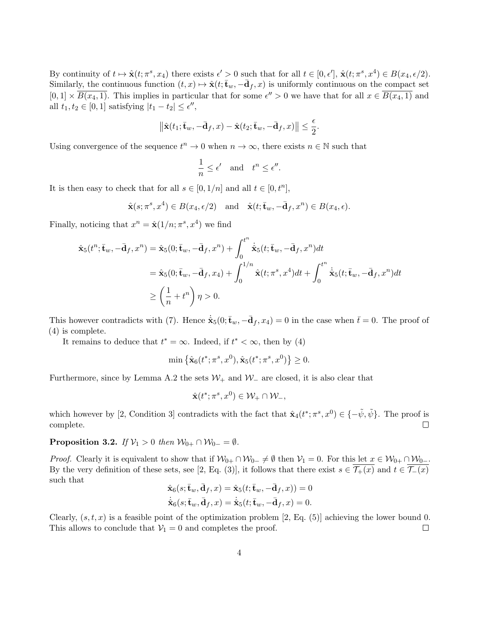By continuity of  $t \mapsto \hat{\mathbf{x}}(t; \pi^s, x_4)$  there exists  $\epsilon' > 0$  such that for all  $t \in [0, \epsilon'], \hat{\mathbf{x}}(t; \pi^s, x^4) \in B(x_4, \epsilon/2)$ . Similarly, the continuous function  $(t, x) \mapsto \hat{\mathbf{x}}(t; \overline{\mathbf{t}}_w, -\overline{\mathbf{d}}_f, x)$  is uniformly continuous on the compact set  $[0,1] \times \overline{B(x_4,1)}$ . This implies in particular that for some  $\epsilon'' > 0$  we have that for all  $x \in \overline{B(x_4,1)}$  and all  $t_1, t_2 \in [0, 1]$  satisfying  $|t_1 - t_2| \leq \epsilon''$ ,

$$
\left\|\hat{\mathbf{x}}(t_1;\bar{\mathbf{t}}_w,-\bar{\mathbf{d}}_f,x)-\hat{\mathbf{x}}(t_2;\bar{\mathbf{t}}_w,-\bar{\mathbf{d}}_f,x)\right\| \leq \frac{\epsilon}{2}.
$$

Using convergence of the sequence  $t^n \to 0$  when  $n \to \infty$ , there exists  $n \in \mathbb{N}$  such that

$$
\frac{1}{n} \le \epsilon' \quad \text{and} \quad t^n \le \epsilon''.
$$

It is then easy to check that for all  $s \in [0, 1/n]$  and all  $t \in [0, t^n]$ ,

$$
\hat{\mathbf{x}}(s; \pi^s, x^4) \in B(x_4, \epsilon/2)
$$
 and  $\hat{\mathbf{x}}(t; \bar{\mathbf{t}}_w, -\bar{\mathbf{d}}_f, x^n) \in B(x_4, \epsilon)$ .

Finally, noticing that  $x^n = \hat{\mathbf{x}}(1/n; \pi^s, x^4)$  we find

$$
\hat{\mathbf{x}}_5(t^n; \bar{\mathbf{t}}_w, -\bar{\mathbf{d}}_f, x^n) = \hat{\mathbf{x}}_5(0; \bar{\mathbf{t}}_w, -\bar{\mathbf{d}}_f, x^n) + \int_0^{t^n} \dot{\hat{\mathbf{x}}}_5(t; \bar{\mathbf{t}}_w, -\bar{\mathbf{d}}_f, x^n) dt \n= \hat{\mathbf{x}}_5(0; \bar{\mathbf{t}}_w, -\bar{\mathbf{d}}_f, x_4) + \int_0^{1/n} \hat{\mathbf{x}}(t; \pi^s, x^4) dt + \int_0^{t^n} \dot{\hat{\mathbf{x}}}_5(t; \bar{\mathbf{t}}_w, -\bar{\mathbf{d}}_f, x^n) dt \n\ge \left(\frac{1}{n} + t^n\right) \eta > 0.
$$

This however contradicts with (7). Hence  $\dot{\hat{\mathbf{x}}}_5(0; \bar{\mathbf{t}}_w, -\bar{\mathbf{d}}_f, x_4) = 0$  in the case when  $\bar{t} = 0$ . The proof of (4) is complete.

It remains to deduce that  $t^* = \infty$ . Indeed, if  $t^* < \infty$ , then by (4)

$$
\min \left\{ \hat{\mathbf{x}}_6(t^*; \pi^s, x^0), \hat{\mathbf{x}}_5(t^*; \pi^s, x^0) \right\} \ge 0.
$$

Furthermore, since by Lemma A.2 the sets  $\mathcal{W}_+$  and  $\mathcal{W}_-$  are closed, it is also clear that

$$
\hat{\mathbf{x}}(t^*; \pi^s, x^0) \in \mathcal{W}_+ \cap \mathcal{W}_-,
$$

which however by [2, Condition 3] contradicts with the fact that  $\hat{\mathbf{x}}_4(t^*; \pi^s, x^0) \in \{-\tilde{\psi}, \tilde{\psi}\}\.$  The proof is  $\Box$ complete.

**Proposition 3.2.** If  $V_1 > 0$  then  $W_{0+} \cap W_{0-} = \emptyset$ .

*Proof.* Clearly it is equivalent to show that if  $\mathcal{W}_{0+} \cap \mathcal{W}_{0-} \neq \emptyset$  then  $\mathcal{V}_1 = 0$ . For this let  $x \in \mathcal{W}_{0+} \cap \mathcal{W}_{0-}$ . By the very definition of these sets, see [2, Eq. (3)], it follows that there exist  $s \in \overline{\mathcal{T}_+(x)}$  and  $t \in \overline{\mathcal{T}_-(x)}$ such that

$$
\begin{split} &\hat{\mathbf{x}}_6(s;\bar{\mathbf{t}}_w,\bar{\mathbf{d}}_f,x)=\hat{\mathbf{x}}_5(t;\bar{\mathbf{t}}_w,-\bar{\mathbf{d}}_f,x))=0\\ &\dot{\hat{\mathbf{x}}}_6(s;\bar{\mathbf{t}}_w,\bar{\mathbf{d}}_f,x)=\dot{\hat{\mathbf{x}}}_5(t;\bar{\mathbf{t}}_w,-\bar{\mathbf{d}}_f,x)=0. \end{split}
$$

Clearly,  $(s, t, x)$  is a feasible point of the optimization problem [2, Eq. (5)] achieving the lower bound 0. This allows to conclude that  $V_1 = 0$  and completes the proof.  $\Box$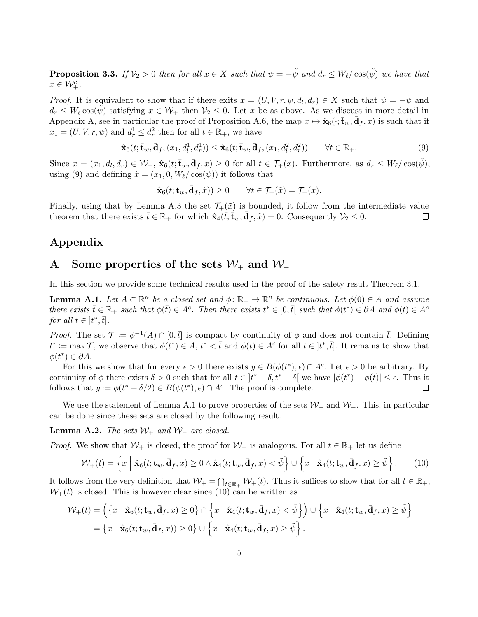**Proposition 3.3.** If  $V_2 > 0$  then for all  $x \in X$  such that  $\psi = -\tilde{\psi}$  and  $d_r \leq W_\ell / \cos(\tilde{\psi})$  we have that  $x \in \mathcal{W}_+^c$ .

*Proof.* It is equivalent to show that if there exits  $x = (U, V, r, \psi, d_l, d_r) \in X$  such that  $\psi = -\tilde{\psi}$  and  $d_r \leq W_\ell \cos(\psi)$  satisfying  $x \in \mathcal{W}_+$  then  $\mathcal{V}_2 \leq 0$ . Let x be as above. As we discuss in more detail in Appendix A, see in particular the proof of Proposition A.6, the map  $x \mapsto \hat{\mathbf{x}}_6(\cdot; \bar{\mathbf{t}}_w, \bar{\mathbf{d}}_f, x)$  is such that if  $x_1 = (U, V, r, \psi)$  and  $d_r^1 \leq d_r^2$  then for all  $t \in \mathbb{R}_+$ , we have

$$
\hat{\mathbf{x}}_6(t; \bar{\mathbf{t}}_w, \bar{\mathbf{d}}_f, (x_1, d_l^1, d_r^1)) \leq \hat{\mathbf{x}}_6(t; \bar{\mathbf{t}}_w, \bar{\mathbf{d}}_f, (x_1, d_l^2, d_r^2)) \qquad \forall t \in \mathbb{R}_+.
$$
\n
$$
(9)
$$

Since  $x = (x_1, d_l, d_r) \in \mathcal{W}_+$ ,  $\hat{\mathbf{x}}_6(t; \overline{\mathbf{t}}_w, \overline{\mathbf{d}}_f, x) \geq 0$  for all  $t \in \mathcal{T}_+(x)$ . Furthermore, as  $d_r \leq W_{\ell}/\cos(\tilde{\psi})$ , using (9) and defining  $\tilde{x} = (x_1, 0, W_\ell / \cos(\tilde{\psi}))$  it follows that

$$
\hat{\mathbf{x}}_6(t; \bar{\mathbf{t}}_w, \bar{\mathbf{d}}_f, \tilde{x})) \ge 0 \qquad \forall t \in \mathcal{T}_+(\tilde{x}) = \mathcal{T}_+(x).
$$

Finally, using that by Lemma A.3 the set  $\mathcal{T}_+(\tilde{x})$  is bounded, it follow from the intermediate value theorem that there exists  $\bar{t} \in \mathbb{R}_+$  for which  $\hat{\mathbf{x}}_4(\bar{t}; \dot{\bar{\mathbf{t}}}_w, \bar{\mathbf{d}}_f, \tilde{x}) = 0$ . Consequently  $\mathcal{V}_2 \leq 0$ .  $\Box$ 

## Appendix

# A Some properties of the sets  $W_+$  and  $W_-$

In this section we provide some technical results used in the proof of the safety result Theorem 3.1.

**Lemma A.1.** Let  $A \subset \mathbb{R}^n$  be a closed set and  $\phi \colon \mathbb{R}_+ \to \mathbb{R}^n$  be continuous. Let  $\phi(0) \in A$  and assume there exists  $\bar{t} \in \mathbb{R}_+$  such that  $\phi(\bar{t}) \in A^c$ . Then there exists  $t^* \in [0,\bar{t}]$  such that  $\phi(t^*) \in \partial A$  and  $\phi(t) \in A^c$ for all  $t \in [t^*, \bar{t}].$ 

*Proof.* The set  $\mathcal{T} := \phi^{-1}(A) \cap [0, \bar{t}]$  is compact by continuity of  $\phi$  and does not contain  $\bar{t}$ . Defining  $t^* \coloneqq \max \mathcal{T}$ , we observe that  $\phi(t^*) \in A$ ,  $t^* < \overline{t}$  and  $\phi(t) \in A^c$  for all  $t \in [t^*, \overline{t}]$ . It remains to show that  $\phi(t^*) \in \partial A$ .

For this we show that for every  $\epsilon > 0$  there exists  $y \in B(\phi(t^*), \epsilon) \cap A^c$ . Let  $\epsilon > 0$  be arbitrary. By continuity of  $\phi$  there exists  $\delta > 0$  such that for all  $t \in [t^* - \delta, t^* + \delta]$  we have  $|\phi(t^*) - \phi(t)| \leq \epsilon$ . Thus it follows that  $y := \phi(t^* + \delta/2) \in B(\phi(t^*), \epsilon) \cap A^c$ . The proof is complete. П

We use the statement of Lemma A.1 to prove properties of the sets  $W_+$  and  $W_-.$  This, in particular can be done since these sets are closed by the following result.

**Lemma A.2.** The sets  $W_+$  and  $W_-$  are closed.

*Proof.* We show that  $W_+$  is closed, the proof for  $W_-$  is analogous. For all  $t \in \mathbb{R}_+$  let us define

$$
\mathcal{W}_+(t) = \left\{ x \mid \hat{\mathbf{x}}_6(t; \bar{\mathbf{t}}_w, \bar{\mathbf{d}}_f, x) \ge 0 \land \hat{\mathbf{x}}_4(t; \bar{\mathbf{t}}_w, \bar{\mathbf{d}}_f, x) < \tilde{\psi} \right\} \cup \left\{ x \mid \hat{\mathbf{x}}_4(t; \bar{\mathbf{t}}_w, \bar{\mathbf{d}}_f, x) \ge \tilde{\psi} \right\}.
$$
 (10)

It follows from the very definition that  $W_+ = \bigcap_{t \in \mathbb{R}_+} W_+(t)$ . Thus it suffices to show that for all  $t \in \mathbb{R}_+$ ,  $W_+(t)$  is closed. This is however clear since (10) can be written as

$$
\mathcal{W}_{+}(t) = \left( \left\{ x \mid \hat{\mathbf{x}}_{6}(t; \bar{\mathbf{t}}_{w}, \bar{\mathbf{d}}_{f}, x) \ge 0 \right\} \cap \left\{ x \mid \hat{\mathbf{x}}_{4}(t; \bar{\mathbf{t}}_{w}, \bar{\mathbf{d}}_{f}, x) < \tilde{\psi} \right\} \right) \cup \left\{ x \mid \hat{\mathbf{x}}_{4}(t; \bar{\mathbf{t}}_{w}, \bar{\mathbf{d}}_{f}, x) \ge \tilde{\psi} \right\} = \left\{ x \mid \hat{\mathbf{x}}_{6}(t; \bar{\mathbf{t}}_{w}, \bar{\mathbf{d}}_{f}, x)) \ge 0 \right\} \cup \left\{ x \mid \hat{\mathbf{x}}_{4}(t; \bar{\mathbf{t}}_{w}, \bar{\mathbf{d}}_{f}, x) \ge \tilde{\psi} \right\}.
$$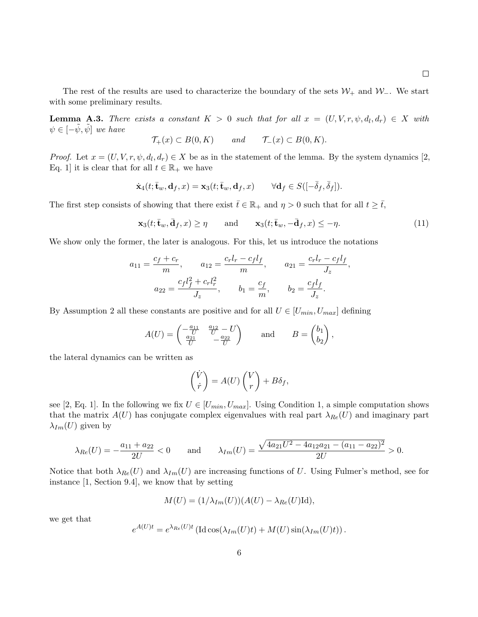$\Box$ 

The rest of the results are used to characterize the boundary of the sets  $\mathcal{W}_+$  and  $\mathcal{W}_-$ . We start with some preliminary results.

**Lemma A.3.** There exists a constant  $K > 0$  such that for all  $x = (U, V, r, \psi, d_l, d_r) \in X$  with  $\psi \in [-\tilde{\psi}, \tilde{\psi}]$  we have

$$
\mathcal{T}_+(x) \subset B(0,K) \qquad \text{and} \qquad \mathcal{T}_-(x) \subset B(0,K).
$$

*Proof.* Let  $x = (U, V, r, \psi, d_l, d_r) \in X$  be as in the statement of the lemma. By the system dynamics [2, Eq. 1] it is clear that for all  $t \in \mathbb{R}_+$  we have

$$
\dot{\mathbf{x}}_4(t; \bar{\mathbf{t}}_w, \mathbf{d}_f, x) = \mathbf{x}_3(t; \bar{\mathbf{t}}_w, \mathbf{d}_f, x) \qquad \forall \mathbf{d}_f \in S([-\bar{\delta}_f, \bar{\delta}_f]).
$$

The first step consists of showing that there exist  $\bar{t} \in \mathbb{R}_+$  and  $\eta > 0$  such that for all  $t \geq \bar{t}$ ,

$$
\mathbf{x}_3(t; \bar{\mathbf{t}}_w, \bar{\mathbf{d}}_f, x) \ge \eta \quad \text{and} \quad \mathbf{x}_3(t; \bar{\mathbf{t}}_w, -\bar{\mathbf{d}}_f, x) \le -\eta. \tag{11}
$$

We show only the former, the later is analogous. For this, let us introduce the notations

$$
a_{11} = \frac{c_f + c_r}{m}, \qquad a_{12} = \frac{c_r l_r - c_f l_f}{m}, \qquad a_{21} = \frac{c_r l_r - c_f l_f}{J_z},
$$

$$
a_{22} = \frac{c_f l_f^2 + c_r l_r^2}{J_z}, \qquad b_1 = \frac{c_f}{m}, \qquad b_2 = \frac{c_f l_f}{J_z}.
$$

By Assumption 2 all these constants are positive and for all  $U \in [U_{min}, U_{max}]$  defining

$$
A(U) = \begin{pmatrix} -\frac{a_{11}}{U} & \frac{a_{12}}{U} - U \\ \frac{a_{21}}{U} & -\frac{a_{22}}{U} \end{pmatrix} \quad \text{and} \quad B = \begin{pmatrix} b_1 \\ b_2 \end{pmatrix},
$$

the lateral dynamics can be written as

$$
\begin{pmatrix} \dot{V} \\ \dot{r} \end{pmatrix} = A(U) \begin{pmatrix} V \\ r \end{pmatrix} + B\delta_f,
$$

see [2, Eq. 1]. In the following we fix  $U \in [U_{min}, U_{max}]$ . Using Condition 1, a simple computation shows that the matrix  $A(U)$  has conjugate complex eigenvalues with real part  $\lambda_{Re}(U)$  and imaginary part  $\lambda_{Im}(U)$  given by

$$
\lambda_{Re}(U) = -\frac{a_{11} + a_{22}}{2U} < 0 \qquad \text{and} \qquad \lambda_{Im}(U) = \frac{\sqrt{4a_{21}U^2 - 4a_{12}a_{21} - (a_{11} - a_{22})^2}}{2U} > 0.
$$

Notice that both  $\lambda_{Re}(U)$  and  $\lambda_{Im}(U)$  are increasing functions of U. Using Fulmer's method, see for instance [1, Section 9.4], we know that by setting

$$
M(U) = (1/\lambda_{Im}(U))(A(U) - \lambda_{Re}(U)\mathrm{Id}),
$$

we get that

$$
e^{A(U)t} = e^{\lambda_{Re}(U)t} \left( \mathrm{Id} \cos(\lambda_{Im}(U)t) + M(U) \sin(\lambda_{Im}(U)t) \right).
$$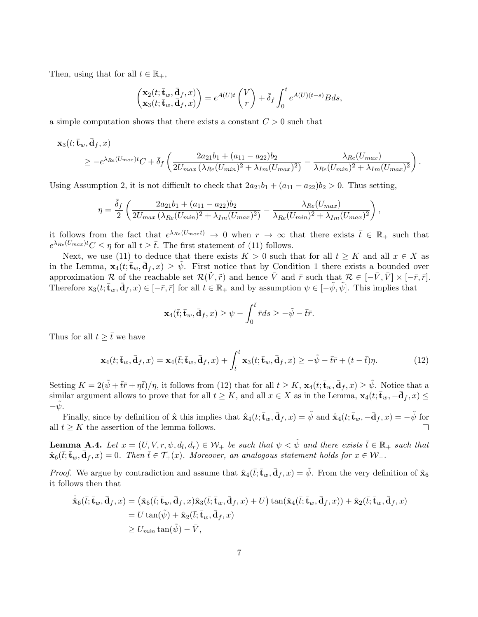Then, using that for all  $t \in \mathbb{R}_+$ ,

$$
\begin{pmatrix} \mathbf{x}_2(t; \bar{\mathbf{t}}_w, \bar{\mathbf{d}}_f, x) \\ \mathbf{x}_3(t; \bar{\mathbf{t}}_w, \bar{\mathbf{d}}_f, x) \end{pmatrix} = e^{A(U)t} \begin{pmatrix} V \\ r \end{pmatrix} + \bar{\delta}_f \int_0^t e^{A(U)(t-s)} B ds,
$$

a simple computation shows that there exists a constant  $C > 0$  such that

$$
\mathbf{x}_{3}(t; \bar{\mathbf{t}}_{w}, \bar{\mathbf{d}}_{f}, x) \ge -e^{\lambda_{Re}(U_{max})t}C + \bar{\delta}_{f}\left(\frac{2a_{21}b_{1} + (a_{11} - a_{22})b_{2}}{2U_{max}(\lambda_{Re}(U_{min})^{2} + \lambda_{Im}(U_{max})^{2})} - \frac{\lambda_{Re}(U_{max})}{\lambda_{Re}(U_{min})^{2} + \lambda_{Im}(U_{max})^{2}}\right).
$$

Using Assumption 2, it is not difficult to check that  $2a_{21}b_1 + (a_{11} - a_{22})b_2 > 0$ . Thus setting,

$$
\eta = \frac{\bar{\delta}_f}{2} \left( \frac{2a_{21}b_1 + (a_{11} - a_{22})b_2}{2U_{max} (\lambda_{Re}(U_{min})^2 + \lambda_{Im}(U_{max})^2)} - \frac{\lambda_{Re}(U_{max})}{\lambda_{Re}(U_{min})^2 + \lambda_{Im}(U_{max})^2} \right),
$$

it follows from the fact that  $e^{\lambda_{Re}(U_{max}t)} \to 0$  when  $r \to \infty$  that there exists  $\bar{t} \in \mathbb{R}_+$  such that  $e^{\lambda_{Re}(U_{max})t}C \leq \eta$  for all  $t \geq \overline{t}$ . The first statement of (11) follows.

Next, we use (11) to deduce that there exists  $K > 0$  such that for all  $t \geq K$  and all  $x \in X$  as in the Lemma,  $\mathbf{x}_4(t;\bar{\mathbf{t}}_w,\bar{\mathbf{d}}_f,x) \geq \tilde{\psi}$ . First notice that by Condition 1 there exists a bounded over approximation R of the reachable set  $\mathcal{R}(\tilde{V}, \tilde{r})$  and hence  $\bar{V}$  and  $\bar{r}$  such that  $\mathcal{R} \in [-\bar{V}, \bar{V}] \times [-\bar{r}, \bar{r}]$ . Therefore  $\mathbf{x}_3(t; \bar{\mathbf{t}}_w, \bar{\mathbf{d}}_f, x) \in [-\bar{r}, \bar{r}]$  for all  $t \in \mathbb{R}_+$  and by assumption  $\psi \in [-\tilde{\psi}, \tilde{\psi}]$ . This implies that

$$
\mathbf{x}_4(\bar{t};\bar{\mathbf{t}}_w,\bar{\mathbf{d}}_f,x) \geq \psi - \int_0^{\bar{t}} \bar{r} ds \geq -\tilde{\psi} - \bar{t}\bar{r}.
$$

Thus for all  $t \geq \overline{t}$  we have

$$
\mathbf{x}_4(t; \bar{\mathbf{t}}_w, \bar{\mathbf{d}}_f, x) = \mathbf{x}_4(\bar{t}; \bar{\mathbf{t}}_w, \bar{\mathbf{d}}_f, x) + \int_{\bar{t}}^t \mathbf{x}_3(t; \bar{\mathbf{t}}_w, \bar{\mathbf{d}}_f, x) \ge -\tilde{\psi} - \bar{t}\bar{r} + (t - \bar{t})\eta.
$$
 (12)

Setting  $K = 2(\tilde{\psi} + \bar{t}\bar{r} + \eta \bar{t})/\eta$ , it follows from (12) that for all  $t \geq K$ ,  $\mathbf{x}_4(t; \bar{\mathbf{t}}_w, \bar{\mathbf{d}}_f, x) \geq \tilde{\psi}$ . Notice that a similar argument allows to prove that for all  $t \geq K$ , and all  $x \in X$  as in the Lemma,  $\mathbf{x}_4(t; \bar{\mathbf{t}}_w, -\bar{\mathbf{d}}_f, x) \leq$  $-\psi$ .

Finally, since by definition of  $\hat{\mathbf{x}}$  this implies that  $\hat{\mathbf{x}}_4(t; \bar{\mathbf{t}}_w, \bar{\mathbf{d}}_f, x) = \tilde{\psi}$  and  $\hat{\mathbf{x}}_4(t; \bar{\mathbf{t}}_w, -\bar{\mathbf{d}}_f, x) = -\tilde{\psi}$  for all  $t \geq K$  the assertion of the lemma follows.  $\Box$ 

**Lemma A.4.** Let  $x = (U, V, r, \psi, d_l, d_r) \in W_+$  be such that  $\psi < \tilde{\psi}$  and there exists  $\bar{t} \in \mathbb{R}_+$  such that  $\hat{\mathbf{x}}_6(\bar{t}; \bar{\mathbf{t}}_w, \bar{\mathbf{d}}_f, x) = 0$ . Then  $\bar{t} \in \mathcal{T}_+(x)$ . Moreover, an analogous statement holds for  $x \in \mathcal{W}_-$ .

*Proof.* We argue by contradiction and assume that  $\hat{\mathbf{x}}_4(\bar{t}; \bar{\mathbf{t}}_w, \bar{\mathbf{d}}_f, x) = \tilde{\psi}$ . From the very definition of  $\hat{\mathbf{x}}_6$ it follows then that

$$
\begin{aligned} \dot{\hat{\mathbf{x}}}_6(\bar{t};\bar{\mathbf{t}}_w,\bar{\mathbf{d}}_f,x) &= \big(\hat{\mathbf{x}}_6(\bar{t};\bar{\mathbf{t}}_w,\bar{\mathbf{d}}_f,x)\hat{\mathbf{x}}_3(\bar{t};\bar{\mathbf{t}}_w,\bar{\mathbf{d}}_f,x) + U\big)\tan(\hat{\mathbf{x}}_4(\bar{t};\bar{\mathbf{t}}_w,\bar{\mathbf{d}}_f,x)) + \hat{\mathbf{x}}_2(\bar{t};\bar{\mathbf{t}}_w,\bar{\mathbf{d}}_f,x) \\ &= U\tan(\tilde{\psi}) + \hat{\mathbf{x}}_2(\bar{t};\bar{\mathbf{t}}_w,\bar{\mathbf{d}}_f,x) \\ &\ge U_{min}\tan(\tilde{\psi}) - \bar{V}, \end{aligned}
$$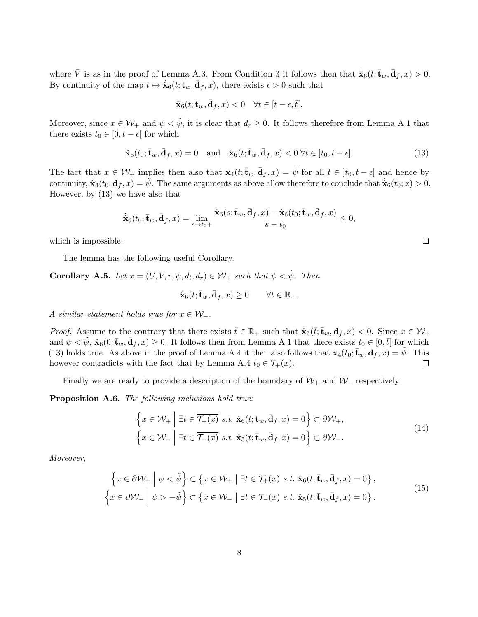where  $\bar{V}$  is as in the proof of Lemma A.3. From Condition 3 it follows then that  $\dot{\hat{\mathbf{x}}}_{6}(\bar{t}; \bar{\mathbf{t}}_w, \bar{\mathbf{d}}_f, x) > 0$ . By continuity of the map  $t \mapsto \dot{\hat{\mathbf{x}}}_6(\bar{t}; \bar{\mathbf{t}}_w, \bar{\mathbf{d}}_f, x)$ , there exists  $\epsilon > 0$  such that

$$
\hat{\mathbf{x}}_6(t; \bar{\mathbf{t}}_w, \bar{\mathbf{d}}_f, x) < 0 \quad \forall t \in [t - \epsilon, \bar{t}].
$$

Moreover, since  $x \in \mathcal{W}_+$  and  $\psi < \tilde{\psi}$ , it is clear that  $d_r \geq 0$ . It follows therefore from Lemma A.1 that there exists  $t_0 \in [0, t - \epsilon]$  for which

$$
\hat{\mathbf{x}}_6(t_0; \bar{\mathbf{t}}_w, \bar{\mathbf{d}}_f, x) = 0 \quad \text{and} \quad \hat{\mathbf{x}}_6(t; \bar{\mathbf{t}}_w, \bar{\mathbf{d}}_f, x) < 0 \,\forall t \in [t_0, t - \epsilon]. \tag{13}
$$

The fact that  $x \in \mathcal{W}_+$  implies then also that  $\hat{\mathbf{x}}_4(t; \bar{\mathbf{t}}_w, \bar{\mathbf{d}}_f, x) = \tilde{\psi}$  for all  $t \in [t_0, t - \epsilon]$  and hence by continuity,  $\hat{\mathbf{x}}_4(t_0; \bar{\mathbf{d}}_f, x) = \tilde{\psi}$ . The same arguments as above allow therefore to conclude that  $\dot{\hat{\mathbf{x}}}_6(t_0; x) > 0$ . However, by (13) we have also that

$$
\dot{\hat{\mathbf{x}}}_6(t_0;\bar{\mathbf{t}}_w,\bar{\mathbf{d}}_f,x)=\lim_{s\rightarrow t_0+}\frac{\hat{\mathbf{x}}_6(s;\bar{\mathbf{t}}_w,\bar{\mathbf{d}}_f,x)-\hat{\mathbf{x}}_6(t_0;\bar{\mathbf{t}}_w,\bar{\mathbf{d}}_f,x)}{s-t_0}\leq 0,
$$

which is impossible.

The lemma has the following useful Corollary.

**Corollary A.5.** Let  $x = (U, V, r, \psi, d_l, d_r) \in \mathcal{W}_+$  such that  $\psi < \tilde{\psi}$ . Then

$$
\hat{\mathbf{x}}_6(t; \bar{\mathbf{t}}_w, \bar{\mathbf{d}}_f, x) \ge 0 \qquad \forall t \in \mathbb{R}_+.
$$

A similar statement holds true for  $x \in \mathcal{W}_-$ .

*Proof.* Assume to the contrary that there exists  $\bar{t} \in \mathbb{R}_+$  such that  $\hat{\mathbf{x}}_6(\bar{t}; \bar{\mathbf{t}}_w, \bar{\mathbf{d}}_f, x) < 0$ . Since  $x \in \mathcal{W}_+$ and  $\psi < \tilde{\psi}$ ,  $\hat{\mathbf{x}}_6(0; \bar{\mathbf{t}}_w, \bar{\mathbf{d}}_f, x) \ge 0$ . It follows then from Lemma A.1 that there exists  $t_0 \in [0, \bar{t}]$  for which (13) holds true. As above in the proof of Lemma A.4 it then also follows that  $\hat{\mathbf{x}}_4(t_0; \bar{\mathbf{t}}_w, \bar{\mathbf{d}}_f, x) = \tilde{\psi}$ . This however contradicts with the fact that by Lemma A.4  $t_0 \in \mathcal{T}_+(x)$ .  $\Box$ 

Finally we are ready to provide a description of the boundary of  $W_+$  and  $W_-\$  respectively.

Proposition A.6. The following inclusions hold true:

$$
\left\{ x \in \mathcal{W}_+ \middle| \exists t \in \overline{\mathcal{T}_+(x)} \ s.t. \ \hat{\mathbf{x}}_6(t; \bar{\mathbf{t}}_w, \bar{\mathbf{d}}_f, x) = 0 \right\} \subset \partial \mathcal{W}_+, \left\{ x \in \mathcal{W}_- \middle| \exists t \in \overline{\mathcal{T}_-(x)} \ s.t. \ \hat{\mathbf{x}}_5(t; \bar{\mathbf{t}}_w, \bar{\mathbf{d}}_f, x) = 0 \right\} \subset \partial \mathcal{W}_-.
$$
\n(14)

Moreover,

$$
\left\{ x \in \partial \mathcal{W}_+ \middle| \psi < \tilde{\psi} \right\} \subset \left\{ x \in \mathcal{W}_+ \middle| \exists t \in \mathcal{T}_+(x) \text{ s.t. } \hat{\mathbf{x}}_6(t; \bar{\mathbf{t}}_w, \bar{\mathbf{d}}_f, x) = 0 \right\},\
$$
\n
$$
\left\{ x \in \partial \mathcal{W}_- \middle| \psi > -\tilde{\psi} \right\} \subset \left\{ x \in \mathcal{W}_- \middle| \exists t \in \mathcal{T}_-(x) \text{ s.t. } \hat{\mathbf{x}}_5(t; \bar{\mathbf{t}}_w, \bar{\mathbf{d}}_f, x) = 0 \right\}.
$$
\n
$$
(15)
$$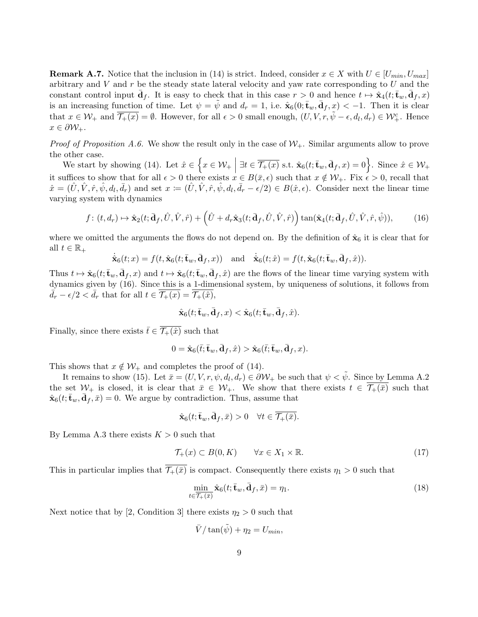**Remark A.7.** Notice that the inclusion in (14) is strict. Indeed, consider  $x \in X$  with  $U \in [U_{min}, U_{max}]$ arbitrary and V and r be the steady state lateral velocity and yaw rate corresponding to U and the constant control input  $\bar{\mathbf{d}}_f$ . It is easy to check that in this case  $r > 0$  and hence  $t \mapsto \hat{\mathbf{x}}_4(t; \bar{\mathbf{t}}_w, \bar{\mathbf{d}}_f, x)$ is an increasing function of time. Let  $\psi = \tilde{\psi}$  and  $d_r = 1$ , i.e.  $\hat{\mathbf{x}}_6(0; \mathbf{t}_w, \mathbf{d}_f, x) < -1$ . Then it is clear that  $x \in \mathcal{W}_+$  and  $\overline{\mathcal{T}_+(x)} = \emptyset$ . However, for all  $\epsilon > 0$  small enough,  $(U, V, r, \tilde{\psi} - \epsilon, d_l, d_r) \in \mathcal{W}_+^c$ . Hence  $x \in \partial \mathcal{W}_{+}.$ 

*Proof of Proposition A.6.* We show the result only in the case of  $W_+$ . Similar arguments allow to prove the other case.

We start by showing (14). Let  $\hat{x} \in \left\{ x \in \mathcal{W}_+ \mid \exists t \in \overline{\mathcal{T}_+(x)} \text{ s.t. } \hat{\mathbf{x}}_6(t; \bar{\mathbf{t}}_w, \bar{\mathbf{d}}_f, x) = 0 \right\}$ . Since  $\hat{x} \in \mathcal{W}_+$ it suffices to show that for all  $\epsilon > 0$  there exists  $x \in B(\bar{x}, \epsilon)$  such that  $x \notin \mathcal{W}_+$ . Fix  $\epsilon > 0$ , recall that  $\hat{x} = (\hat{U}, \hat{V}, \hat{r}, \hat{\psi}, d_l, \bar{d}_r)$  and set  $x := (\hat{U}, \hat{V}, \hat{r}, \hat{\psi}, d_l, \bar{d}_r - \epsilon/2) \in B(\hat{x}, \epsilon)$ . Consider next the linear time varying system with dynamics

$$
f\colon (t, d_r) \mapsto \hat{\mathbf{x}}_2(t; \bar{\mathbf{d}}_f, \hat{U}, \hat{V}, \hat{r}) + \left(\hat{U} + d_r \hat{\mathbf{x}}_3(t; \bar{\mathbf{d}}_f, \hat{U}, \hat{V}, \hat{r})\right) \tan(\hat{\mathbf{x}}_4(t; \bar{\mathbf{d}}_f, \hat{U}, \hat{V}, \hat{r}, \hat{\psi})),\tag{16}
$$

where we omitted the arguments the flows do not depend on. By the definition of  $\hat{\mathbf{x}}_6$  it is clear that for all  $t \in \mathbb{R}_+$ 

$$
\dot{\hat{\mathbf{x}}}_6(t;x) = f(t, \hat{\mathbf{x}}_6(t; \bar{\mathbf{t}}_w, \bar{\mathbf{d}}_f, x)) \text{ and } \dot{\hat{\mathbf{x}}}_6(t; \hat{x}) = f(t, \hat{\mathbf{x}}_6(t; \bar{\mathbf{t}}_w, \bar{\mathbf{d}}_f, \hat{x})).
$$

Thus  $t \mapsto \hat{\mathbf{x}}_6(t; \bar{\mathbf{t}}_w, \bar{\mathbf{d}}_f, x)$  and  $t \mapsto \hat{\mathbf{x}}_6(t; \bar{\mathbf{t}}_w, \bar{\mathbf{d}}_f, \hat{x})$  are the flows of the linear time varying system with dynamics given by (16). Since this is a 1-dimensional system, by uniqueness of solutions, it follows from  $\bar{d}_r - \epsilon/2 < \bar{d}_r$  that for all  $t \in \mathcal{T}_+(x) = \mathcal{T}_+(\hat{x}),$ 

$$
\hat{\mathbf{x}}_6(t; \bar{\mathbf{t}}_w, \bar{\mathbf{d}}_f, x) < \hat{\mathbf{x}}_6(t; \bar{\mathbf{t}}_w, \bar{\mathbf{d}}_f, \hat{x}).
$$

Finally, since there exists  $\bar{t} \in \overline{\mathcal{T}_{+}(\hat{x})}$  such that

$$
0 = \hat{\mathbf{x}}_6(\bar{t}; \bar{\mathbf{t}}_w, \bar{\mathbf{d}}_f, \hat{x}) > \hat{\mathbf{x}}_6(\bar{t}; \bar{\mathbf{t}}_w, \bar{\mathbf{d}}_f, x).
$$

This shows that  $x \notin \mathcal{W}_+$  and completes the proof of (14).

It remains to show (15). Let  $\bar{x} = (U, V, r, \psi, d_l, d_r) \in \partial \mathcal{W}_+$  be such that  $\psi < \tilde{\psi}$ . Since by Lemma A.2 the set  $W_+$  is closed, it is clear that  $\bar{x} \in W_+$ . We show that there exists  $t \in \overline{\mathcal{T}_+(\bar{x})}$  such that  $\hat{\mathbf{x}}_6(t; \bar{\mathbf{t}}_w, \bar{\mathbf{d}}_f, \bar{x}) = 0$ . We argue by contradiction. Thus, assume that

$$
\hat{\mathbf{x}}_6(t; \bar{\mathbf{t}}_w, \bar{\mathbf{d}}_f, \bar{x}) > 0 \quad \forall t \in \overline{\mathcal{T}_+(\bar{x})}.
$$

By Lemma A.3 there exists  $K > 0$  such that

$$
\mathcal{T}_+(x) \subset B(0, K) \qquad \forall x \in X_1 \times \mathbb{R}.\tag{17}
$$

This in particular implies that  $\overline{\mathcal{T}_+(\bar{x})}$  is compact. Consequently there exists  $\eta_1 > 0$  such that

$$
\min_{t \in \overline{\mathcal{T}}_{+}(\bar{x})} \hat{\mathbf{x}}_{6}(t; \bar{\mathbf{t}}_{w}, \bar{\mathbf{d}}_{f}, \bar{x}) = \eta_{1}.
$$
\n(18)

Next notice that by [2, Condition 3] there exists  $\eta_2 > 0$  such that

$$
\bar{V}/\tan(\tilde{\psi}) + \eta_2 = U_{min},
$$